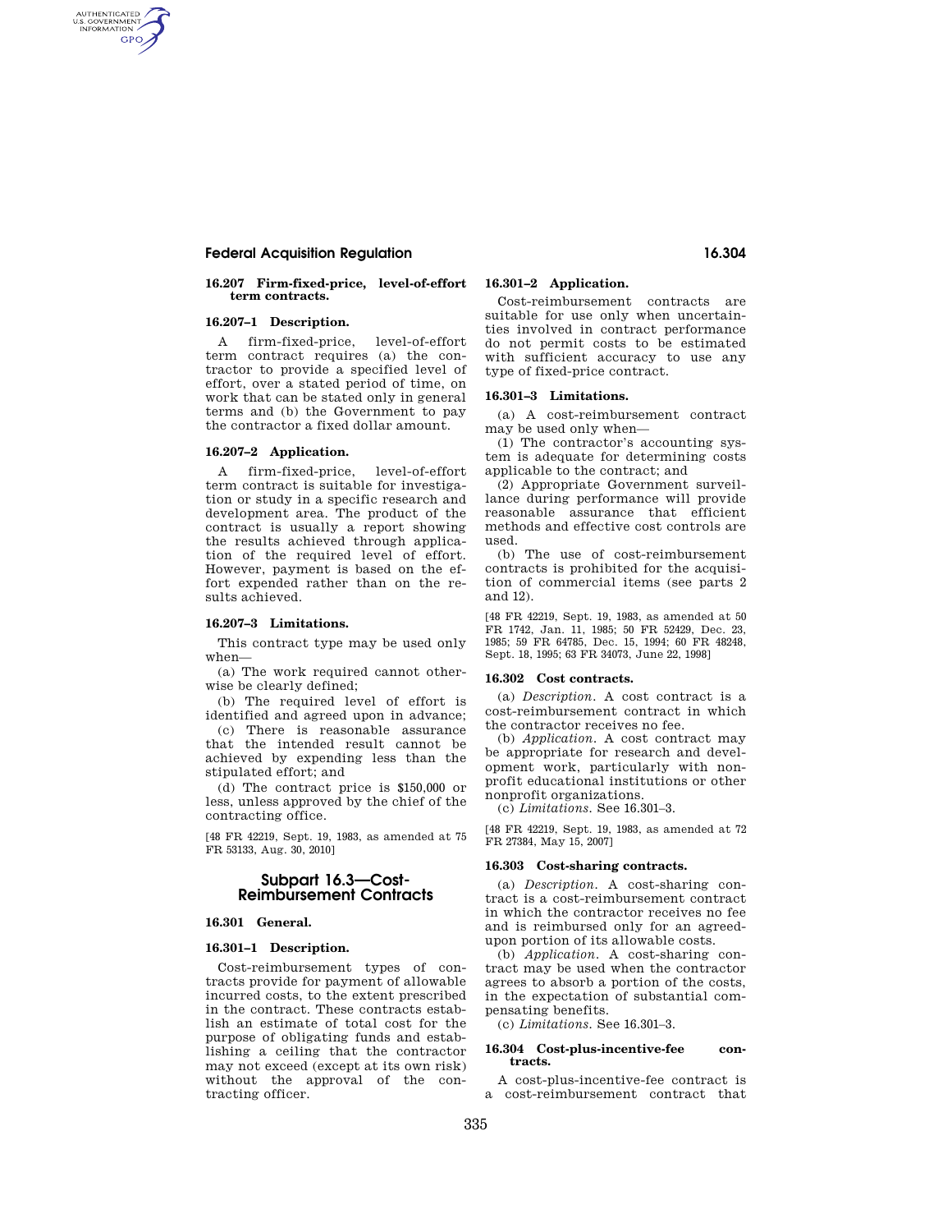# **Federal Acquisition Regulation 16.304**

## **16.207 Firm-fixed-price, level-of-effort term contracts.**

# **16.207–1 Description.**

AUTHENTICATED<br>U.S. GOVERNMENT<br>INFORMATION **GPO** 

> A firm-fixed-price, level-of-effort term contract requires (a) the contractor to provide a specified level of effort, over a stated period of time, on work that can be stated only in general terms and (b) the Government to pay the contractor a fixed dollar amount.

## **16.207–2 Application.**

A firm-fixed-price, level-of-effort term contract is suitable for investigation or study in a specific research and development area. The product of the contract is usually a report showing the results achieved through application of the required level of effort. However, payment is based on the effort expended rather than on the results achieved.

## **16.207–3 Limitations.**

This contract type may be used only when—

(a) The work required cannot otherwise be clearly defined;

(b) The required level of effort is identified and agreed upon in advance;

(c) There is reasonable assurance that the intended result cannot be achieved by expending less than the stipulated effort; and

(d) The contract price is \$150,000 or less, unless approved by the chief of the contracting office.

[48 FR 42219, Sept. 19, 1983, as amended at 75 FR 53133, Aug. 30, 2010]

# **Subpart 16.3—Cost-Reimbursement Contracts**

# **16.301 General.**

## **16.301–1 Description.**

Cost-reimbursement types of contracts provide for payment of allowable incurred costs, to the extent prescribed in the contract. These contracts establish an estimate of total cost for the purpose of obligating funds and establishing a ceiling that the contractor may not exceed (except at its own risk) without the approval of the contracting officer.

# **16.301–2 Application.**

Cost-reimbursement contracts are suitable for use only when uncertainties involved in contract performance do not permit costs to be estimated with sufficient accuracy to use any type of fixed-price contract.

## **16.301–3 Limitations.**

(a) A cost-reimbursement contract may be used only when—

(1) The contractor's accounting system is adequate for determining costs applicable to the contract; and

(2) Appropriate Government surveillance during performance will provide reasonable assurance that efficient methods and effective cost controls are used.

(b) The use of cost-reimbursement contracts is prohibited for the acquisition of commercial items (see parts 2 and 12).

[48 FR 42219, Sept. 19, 1983, as amended at 50 FR 1742, Jan. 11, 1985; 50 FR 52429, Dec. 23, 1985; 59 FR 64785, Dec. 15, 1994; 60 FR 48248, Sept. 18, 1995; 63 FR 34073, June 22, 1998]

#### **16.302 Cost contracts.**

(a) *Description.* A cost contract is a cost-reimbursement contract in which the contractor receives no fee.

(b) *Application.* A cost contract may be appropriate for research and development work, particularly with nonprofit educational institutions or other nonprofit organizations.

(c) *Limitations.* See 16.301–3.

[48 FR 42219, Sept. 19, 1983, as amended at 72 FR 27384, May 15, 2007]

#### **16.303 Cost-sharing contracts.**

(a) *Description.* A cost-sharing contract is a cost-reimbursement contract in which the contractor receives no fee and is reimbursed only for an agreedupon portion of its allowable costs.

(b) *Application.* A cost-sharing contract may be used when the contractor agrees to absorb a portion of the costs, in the expectation of substantial compensating benefits.

(c) *Limitations.* See 16.301–3.

## **16.304 Cost-plus-incentive-fee contracts.**

A cost-plus-incentive-fee contract is a cost-reimbursement contract that